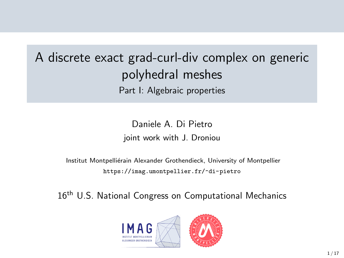# A discrete exact grad-curl-div complex on generic polyhedral meshes Part I: Algebraic properties

Daniele A. Di Pietro joint work with J. Droniou

Institut Montpelliérain Alexander Grothendieck, University of Montpellier <https://imag.umontpellier.fr/~di-pietro>

16<sup>th</sup> U.S. National Congress on Computational Mechanics

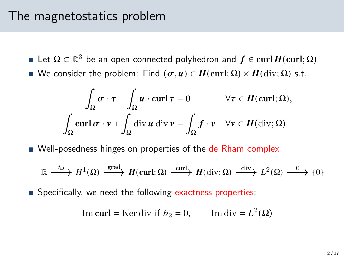#### The magnetostatics problem

- Let  $\Omega \subset \mathbb{R}^3$  be an open connected polyhedron and  $f \in {\rm curl}\, H({\rm curl};\Omega)$
- We consider the problem: Find  $(\sigma, u) \in H(\text{curl}; \Omega) \times H(\text{div}; \Omega)$  s.t.

$$
\int_{\Omega} \sigma \cdot \tau - \int_{\Omega} u \cdot \operatorname{curl} \tau = 0 \qquad \forall \tau \in H(\operatorname{curl}; \Omega),
$$

$$
\int_{\Omega} \operatorname{curl} \sigma \cdot v + \int_{\Omega} \operatorname{div} u \operatorname{div} v = \int_{\Omega} f \cdot v \quad \forall v \in H(\operatorname{div}; \Omega)
$$

Well-posedness hinges on properties of the de Rham complex

$$
\mathbb{R} \xrightarrow{i_{\Omega}} H^{1}(\Omega) \xrightarrow{\text{grad}} H(\text{curl};\Omega) \xrightarrow{\text{curl}} H(\text{div};\Omega) \xrightarrow{\text{div}} L^{2}(\Omega) \xrightarrow{0} \{0\}
$$

**Specifically, we need the following exactness properties:** 

Im curl = Ker div if 
$$
b_2 = 0
$$
, Im div =  $L^2(\Omega)$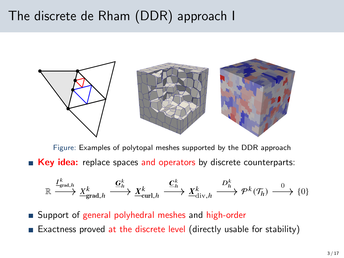# The discrete de Rham (DDR) approach I



Figure: Examples of polytopal meshes supported by the DDR approach Key idea: replace spaces and operators by discrete counterparts:

$$
\mathbb{R} \xrightarrow{I^k_{\text{grad},h}} \underline{X^k_{\text{grad},h}} \xrightarrow{\underline{\mathbf{G}}^k_h} \underline{X^k_{\text{curl},h}} \xrightarrow{\underline{\mathbf{C}}^k_h} \underline{X^k_{\text{div},h}} \xrightarrow{D^k_h} \mathcal{P}^k(\mathcal{T}_h) \xrightarrow{0} \{0\}
$$

■ Support of general polyhedral meshes and high-order

Exactness proved at the discrete level (directly usable for stability)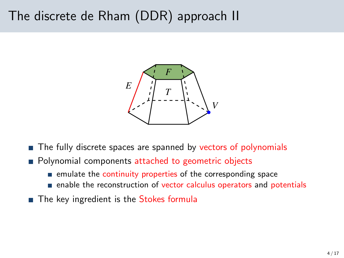# The discrete de Rham (DDR) approach II



- The fully discrete spaces are spanned by vectors of polynomials
- **Polynomial components attached to geometric objects** 
	- $\blacksquare$  emulate the continuity properties of the corresponding space
	- enable the reconstruction of vector calculus operators and potentials
- The key ingredient is the Stokes formula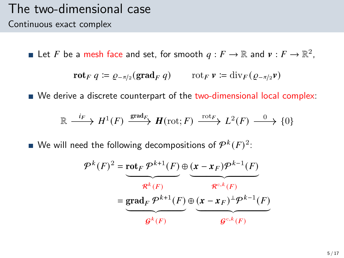#### The two-dimensional case Continuous exact complex

Let F be a mesh face and set, for smooth  $q: F \to \mathbb{R}$  and  $v: F \to \mathbb{R}^2$ ,

$$
\mathbf{rot}_F q \coloneqq \varrho_{-\pi/2}(\mathbf{grad}_F q) \qquad \text{rot}_F \, \mathbf{v} \coloneqq \mathrm{div}_F (\varrho_{-\pi/2} \mathbf{v})
$$

■ We derive a discrete counterpart of the two-dimensional local complex:

$$
\mathbb{R} \xrightarrow{i_F} H^1(F) \xrightarrow{\text{grad}_F} H(\text{rot}; F) \xrightarrow{\text{rot}_F} L^2(F) \xrightarrow{0} \{0\}
$$

We will need the following decompositions of  $\mathcal{P}^k(F)^2$ :

$$
\mathcal{P}^{k}(F)^{2} = \underbrace{\text{rot}_{F} \mathcal{P}^{k+1}(F)}_{\mathcal{R}^{k}(F)} \oplus \underbrace{(\mathbf{x} - \mathbf{x}_{F}) \mathcal{P}^{k-1}(F)}_{\mathcal{R}^{c,k}(F)}
$$
\n
$$
= \underbrace{\text{grad}_{F} \mathcal{P}^{k+1}(F)}_{\mathcal{G}^{k}(F)} \oplus \underbrace{(\mathbf{x} - \mathbf{x}_{F})^{\perp} \mathcal{P}^{k-1}(F)}_{\mathcal{G}^{c,k}(F)}
$$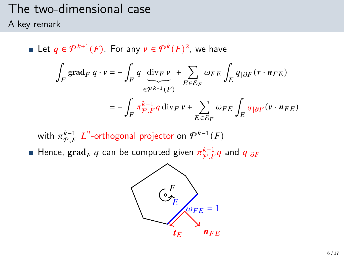# The two-dimensional case

A key remark

Let  $q \in \mathcal{P}^{k+1}(F)$ . For any  $v \in \mathcal{P}^k(F)^2$ , we have ∫  $\int\limits_F\, \mathrm{grad}_F\ q\cdot v = -\, \int\,$  $\int_F q \, \text{div}_F v$  $\widetilde{\epsilon^{p^{k-1}}(F)}$ + Õ  $E\overline{\epsilon}\overline{\mathcal{E}}_F$  $\omega_{FE}\int_E q_{|\partial F}(\mathbf{v}\cdot\mathbf{n}_{FE})$  $=-$  /  $\int_{F} \pi \frac{k-1}{\varphi} q \, \mathrm{div}_F \, \nu + \sum_{F \subset S}$  $E \overline{\epsilon} \overline{\mathcal{E}}_F$  $\omega_{FE} \int_E q_{|\partial F} (v \cdot n_{FE})$ 

with  $\pi^{k-1}_{\mathcal{P},F}$   $L^2$ -orthogonal projector on  $\mathcal{P}^{k-1}(F)$ Hence,  $\operatorname{grad}_F q$  can be computed given  $\pi^{k-1}_{\mathcal{P},F} q$  and  $q_{|\partial F}$ 

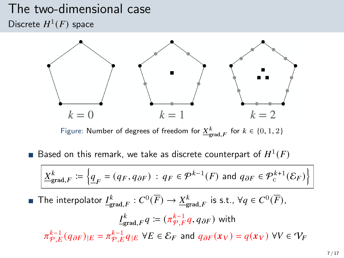### The two-dimensional case Discrete  $H^1(F)$  space



Figure: Number of degrees of freedom for  $\underline{X}^k_{\text{grad},F}$  for  $k \in \{0,1,2\}$ 

Based on this remark, we take as discrete counterpart of  $H^1(F)$ 

$$
\underline{X}_{\text{grad},F}^k \coloneqq \left\{ \underline{q}_F = (q_F, q_{\partial F}) \, : \, q_F \in \mathcal{P}^{k-1}(F) \text{ and } q_{\partial F} \in \mathcal{P}^{k+1}_c(\mathcal{E}_F) \right\}
$$

The interpolator  $\underline{I^k_{\text{grad},F}}:C^0(\overline{F})\to \underline{X^k_{\text{grad},F}}$  is s.t.,  $\forall q\in C^0(\overline{F}),$ 

$$
\underline{I}_{\text{grad},F}^k q := (\pi_{\mathcal{P},F}^{k-1} q, q_{\partial F}) \text{ with}
$$
\n
$$
\pi_{\mathcal{P},E}^{k-1} (q_{\partial F})_{|E} = \pi_{\mathcal{P},E}^{k-1} q_{|E} \ \forall E \in \mathcal{E}_F \text{ and } q_{\partial F}(x_V) = q(x_V) \ \forall V \in \mathcal{V}_F
$$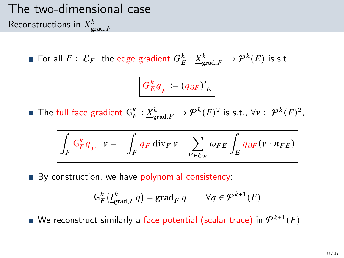# The two-dimensional case Reconstructions in  ${\underline X}^k_{\text{grad},F}$

For all  $E \in \mathcal{E}_F$ , the edge gradient  $G_E^k : \underline{X}_{\text{grad},F}^k \to \mathcal{P}^k(E)$  is s.t.

$$
G_E^k \underline{q}_F \coloneqq (q_{\partial F})'_{|E}
$$

The full face gradient  $\mathsf{G}_{F}^k : \underline{X}_{\text{grad},F}^k \to \mathcal{P}^k(F)^2$  is s.t.,  $\forall v \in \mathcal{P}^k(F)^2$ ,

$$
\int_F \mathsf{G}^k_F \underline{q}_F \cdot v = - \int_F q_F \: \mathrm{div}_F \: v + \sum_{E \in \mathcal{E}_F} \omega_{FE} \int_E q_{\partial F} \big( v \cdot \textit{\textbf{n}}_{FE} \big)
$$

By construction, we have polynomial consistency:

$$
\mathsf{G}_{F}^{k}(\underline{I}_{\mathrm{grad},F}^{k}q)=\mathrm{grad}_{F} q \qquad \forall q \in \mathcal{P}^{k+1}(F)
$$

We reconstruct similarly a face potential (scalar trace) in  $\mathcal{P}^{k+1}(F)$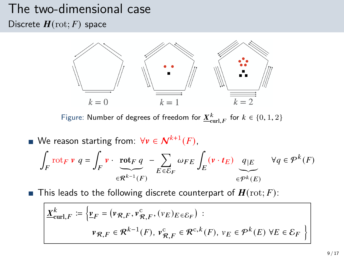# The two-dimensional case

Discrete  $H(\text{rot}; F)$  space



Figure: Number of degrees of freedom for  $\underline{X}^k_{\mathrm{curl},F}$  for  $k \in \{0,1,2\}$ 

We reason starting from:  $\forall v \in \mathcal{N}^{k+1}(F)$ , ∫  $\int_{F}$ rot $_{F}$   $\mathbf{v}$   $q = \int_{F}$  $\int_F \mathbf{v} \cdot \mathbf{rot}_F q$  $\widetilde{\in} \widetilde{\mathcal{R}^{k-1}(F)}$ − Õ  $E \overline{\epsilon} \overline{\mathcal{E}}_F$  $\omega_{FE}\int_E\left(\mathbf{v}\cdot\boldsymbol{t}_E\right)\left[q\right]\varepsilon$  $\widetilde{\epsilon^{pk}(E)}$  $\forall q \in \mathcal{P}^k(F)$ 

**This leads to the following discrete counterpart of**  $H(\text{rot}; F)$ **:** 

$$
\underline{X}_{\text{curl},F}^{k} \coloneqq \left\{ \underline{v}_{F} = (\nu_{\mathcal{R},F}, \nu_{\mathcal{R},F}^{c}, (\nu_{E})_{E \in \mathcal{E}_{F}}) : \right.
$$
\n
$$
\nu_{\mathcal{R},F} \in \mathcal{R}^{k-1}(F), \nu_{\mathcal{R},F}^{c} \in \mathcal{R}^{c,k}(F), \nu_{E} \in \mathcal{P}^{k}(E) \,\forall E \in \mathcal{E}_{F} \right\}
$$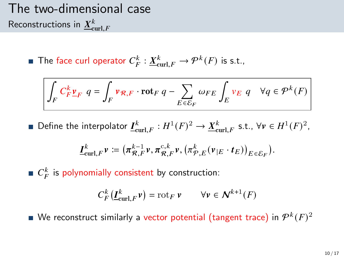# The two-dimensional case Reconstructions in  $\underline{X}^k_{\textnormal{curl},F}$

The face curl operator  $C_F^k : \underline{X}_{\text{curl},F}^k \to \mathcal{P}^k(F)$  is s.t.,

$$
\int_{F} C_{F}^{k} \underline{v}_{F} \ q = \int_{F} \nu_{\mathcal{R},F} \cdot \mathrm{rot}_{F} \ q - \sum_{E \in \mathcal{E}_{F}} \omega_{FE} \int_{E} \nu_{E} \ q \quad \forall q \in \mathcal{P}^{k}(F)
$$

Define the interpolator  $\underline{I}^k_{\text{curl},F} : H^1(F)^2 \to \underline{X}^k_{\text{curl},F}$  s.t.,  $\forall v \in H^1(F)^2$ ,

$$
\underline{I}^k_{\operatorname{curl},F}v\coloneqq\big(\pi^{{k-1}}_{\mathcal{R},F}v,\pi^{{\mathrm{c}},k}_{\mathcal{R},F}v,\big(\pi^k_{\mathcal{P},E}(v_{|E}\cdot t_E)\big)_{E\in\mathcal{E}_F}\big).
$$

 $C_F^k$  is polynomially consistent by construction:

$$
C_F^k(\underline{I}^k_{\operatorname{curl},F}\nu)=\operatorname{rot}_F\nu\qquad\forall\nu\in\textbf{\textit{N}}^{k+1}(F)
$$

We reconstruct similarly a vector potential (tangent trace) in  $\mathcal{P}^k(F)^2$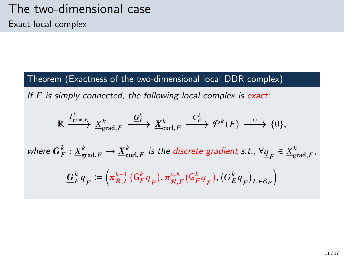Theorem (Exactness of the two-dimensional local DDR complex)

If  $F$  is simply connected, the following local complex is exact:

$$
\mathbb{R} \xrightarrow{\underline{I_{\text{grad},F}^k}} \underline{X_{\text{grad},F}^k} \xrightarrow{\underline{G_F^k}} \underline{X_{\text{curl},F}^k} \xrightarrow{C_F^k} \mathcal{P}^k(F) \xrightarrow{0} \{0\},
$$

where  $\underline{G}^k_F: \underline{X}^k_{\text{grad},F} \to \underline{X}^k_{\text{curl},F}$  is the discrete gradient s.t.,  $\forall \underline{q}_F \in \underline{X}^k_{\text{grad},F}$ ,

$$
\mathbf{\underline{G}}_F^k \underline{\underline{q}}_F \coloneqq \left( \pi_{\mathcal{R},F}^{k-1} \left( \mathsf{G}_F^k \underline{\underline{q}}_F \right), \pi_{\mathcal{R},F}^{c,k} \left( \mathsf{G}_F^k \underline{\underline{q}}_F \right), \left( \mathsf{G}_E^k \underline{\underline{q}}_F \right)_{E \in \mathcal{E}_F} \right)
$$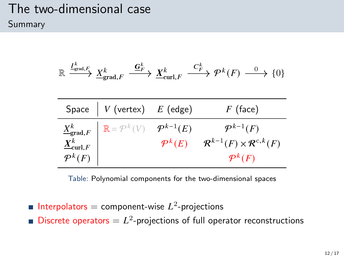### The two-dimensional case Summary

$$
\mathbb{R}\xrightarrow{I_{\mathrm{grad},F}^k}\underline{X}_{\mathrm{grad},F}^k\xrightarrow{\underline{\mathbf{G}}_F^k}\underline{X}_{\mathrm{curl},F}^k\xrightarrow{C_F^k}\mathcal{P}^k(F)\xrightarrow{0}\{0\}
$$

| Space $\mid V$ (vertex) $E$ (edge)                                                                                                                                                 | $F$ (face)                                                                                         |
|------------------------------------------------------------------------------------------------------------------------------------------------------------------------------------|----------------------------------------------------------------------------------------------------|
| $\begin{array}{c c} \underline{X}^k_{\mathsf{grad},F} & \mathbb{R} = \mathcal{P}^k(V) & \mathcal{P}^{k-1}(E) \ \underline{X}^k_{\mathsf{curl},F} & & \mathcal{P}^k(E) \end{array}$ | $\mathcal{P}^{k-1}(F)$<br>$\mathcal{R}^{k-1}(F) \times \mathcal{R}^{c,k}(F)$<br>$\mathcal{P}^k(F)$ |

Table: Polynomial components for the two-dimensional spaces

Interpolators = component-wise  $L^2$ -projections Discrete operators  $= L<sup>2</sup>$ -projections of full operator reconstructions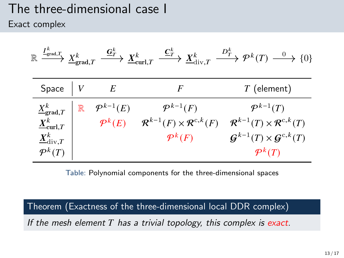#### The three-dimensional case I Exact complex

| $\colon \frac{I^K_{\text{grad},T}}{\longrightarrow} \frac{X^k_{\text{grad},T}}{\longrightarrow}$<br>$\mathbb R$ |             | $\stackrel{\mathbf{G}^k_{T}}{\longrightarrow} \underline{X}^k_{\mathrm{curl}, T}$ | $\stackrel{\underline{\mathbf{C}}_T^k}{\longrightarrow} \underline{X}^k_{\mathrm{div},T}$ | $\stackrel{D_T^k}{\longrightarrow} \mathcal{P}^k(T) \stackrel{0}{\longrightarrow} \{0\}$ |
|-----------------------------------------------------------------------------------------------------------------|-------------|-----------------------------------------------------------------------------------|-------------------------------------------------------------------------------------------|------------------------------------------------------------------------------------------|
| Space                                                                                                           |             | E                                                                                 | F                                                                                         | $T$ (element)                                                                            |
| $\underline{X}_{\text{grad},T}^k$                                                                               | $\mathbb R$ | $\mathcal{P}^{k-1}(E)$                                                            | $\mathcal{P}^{k-1}(F)$                                                                    | $\mathcal{P}^{k-1}(T)$                                                                   |
| $\underline{X}_{\mathrm{curl},T}^k$                                                                             |             | $\mathcal{P}^k(E)$                                                                | $\mathcal{R}^{k-1}(F) \times \mathcal{R}^{c,k}(F)$                                        | $\mathcal{R}^{k-1}(T)\times \mathcal{R}^{c,k}(T)$                                        |
| $\underline{X}^k_{\mathrm{div},T}$                                                                              |             |                                                                                   | $\mathcal{P}^k(F)$                                                                        | $\mathcal{G}^{k-1}(T)\times\mathcal{G}^{c,k}(T)$                                         |
| $\mathcal{P}^k(T)$                                                                                              |             |                                                                                   |                                                                                           | $\mathcal{P}^k(T)$                                                                       |

Table: Polynomial components for the three-dimensional spaces

Theorem (Exactness of the three-dimensional local DDR complex)

If the mesh element  $T$  has a trivial topology, this complex is exact.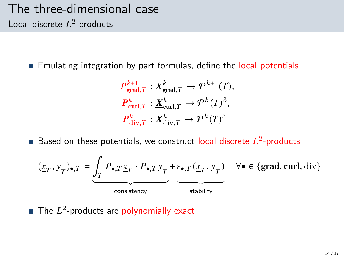### The three-dimensional case Local discrete  $L^2$ -products

**Emulating integration by part formulas, define the local potentials** 

$$
P_{\text{grad},T}^{k+1} : \underline{X}_{\text{grad},T}^{k} \to \mathcal{P}^{k+1}(T),
$$
  

$$
P_{\text{curl},T}^{k} : \underline{X}_{\text{curl},T}^{k} \to \mathcal{P}^{k}(T)^{3},
$$
  

$$
P_{\text{div},T}^{k} : \underline{X}_{\text{div},T}^{k} \to \mathcal{P}^{k}(T)^{3}
$$

Based on these potentials, we construct local discrete  $L^2$ -products

$$
(\underline{x}_T, \underline{y}_T)_{\bullet, T} = \underbrace{\int_T P_{\bullet, T} \underline{x}_T \cdot P_{\bullet, T} \underline{y}_T}_{\text{consistency}} + \underbrace{s_{\bullet, T} (\underline{x}_T, \underline{y}_T)}_{\text{stability}} \quad \forall \bullet \in \{\text{grad}, \text{curl}, \text{div}\}
$$

The  $L^2$ -products are polynomially exact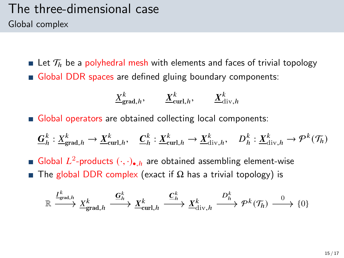### The three-dimensional case Global complex

**Let**  $\mathcal{T}_h$  be a polyhedral mesh with elements and faces of trivial topology Global DDR spaces are defined gluing boundary components:

$$
\underline{X}_{\text{grad},h}^k, \qquad \underline{X}_{\text{curl},h}^k, \qquad \underline{X}_{\text{div},h}^k
$$

Global operators are obtained collecting local components:

$$
\underline{G}_h^k: \underline{X}_{\text{grad},h}^k \to \underline{X}_{\text{curl},h}^k, \quad \underline{C}_h^k: \underline{X}_{\text{curl},h}^k \to \underline{X}_{\text{div},h}^k, \quad D_h^k: \underline{X}_{\text{div},h}^k \to \mathcal{P}^k(\mathcal{T}_h)
$$

Global  $L^2$ -products  $(\cdot, \cdot)_{\bullet, h}$  are obtained assembling element-wise The global DDR complex (exact if  $\Omega$  has a trivial topology) is

$$
\mathbb{R} \xrightarrow{I^k_{\text{grad},h}} \underline{X}^k_{\text{grad},h} \xrightarrow{\underline{G}^k_h} \underline{X}^k_{\text{curl},h} \xrightarrow{\underline{C}^k_h} \underline{X}^k_{\text{div},h} \xrightarrow{D^k_h} \mathcal{P}^k(\mathcal{T}_h) \xrightarrow{0} \{0\}
$$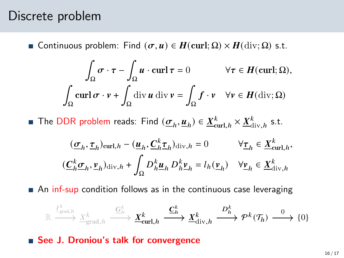#### Discrete problem

**■ Continuous problem:** Find  $(σ, u) ∈ H$ (curl; Ω) ×  $H$ (div; Ω) s.t.

$$
\int_{\Omega} \sigma \cdot \tau - \int_{\Omega} u \cdot \operatorname{curl} \tau = 0 \qquad \forall \tau \in H(\operatorname{curl}; \Omega),
$$

$$
\int_{\Omega} \operatorname{curl} \sigma \cdot v + \int_{\Omega} \operatorname{div} u \operatorname{div} v = \int_{\Omega} f \cdot v \quad \forall v \in H(\operatorname{div}; \Omega)
$$

The DDR problem reads: Find  $(\underline{\sigma}_h, \underline{u}_h) \in \underline{X}_{\text{curl},h}^k \times \underline{X}_{\text{div},h}^k$  s.t.

$$
\begin{aligned} &\quad (\underline{\sigma}_h, \underline{\tau}_h)_{\mathrm{curl},h} - (\underline{\boldsymbol{u}}_h, \underline{\boldsymbol{C}}_h^k \underline{\boldsymbol{\tau}}_h)_{\mathrm{div},h} = 0 &\quad \forall \underline{\boldsymbol{\tau}}_h \in \underline{X}^k_{\mathrm{curl},h}, \\ &(\underline{\boldsymbol{C}}_h^k \underline{\boldsymbol{\sigma}}_h, \underline{\boldsymbol{\nu}}_h)_{\mathrm{div},h} + \int_{\Omega} D^k_h \underline{\boldsymbol{u}}_h \, D^k_h \underline{\boldsymbol{\nu}}_h = l_h(\underline{\boldsymbol{\nu}}_h) &\quad \forall \underline{\boldsymbol{\nu}}_h \in \underline{X}^k_{\mathrm{div},h} \end{aligned}
$$

An inf-sup condition follows as in the continuous case leveraging

$$
\mathbb{R} \xrightarrow{\frac{I^k_{\text{grad},h}}{\frac{\Delta}{2}}}\underline{X}^k_{\text{grad},h} \xrightarrow{\underline{G}^k_{h}} \underline{\underline{\boldsymbol{X}}}^k_{\text{curl},h} \xrightarrow{\underline{\boldsymbol{C}}^k_{h}} \underline{\underline{\boldsymbol{X}}}^k_{\text{div},h} \xrightarrow{\boldsymbol{D}^k_{h}} \boldsymbol{\mathcal{P}}^k(\mathcal{T}_h) \xrightarrow{0} \{0\}
$$

■ See J. Droniou's talk for convergence